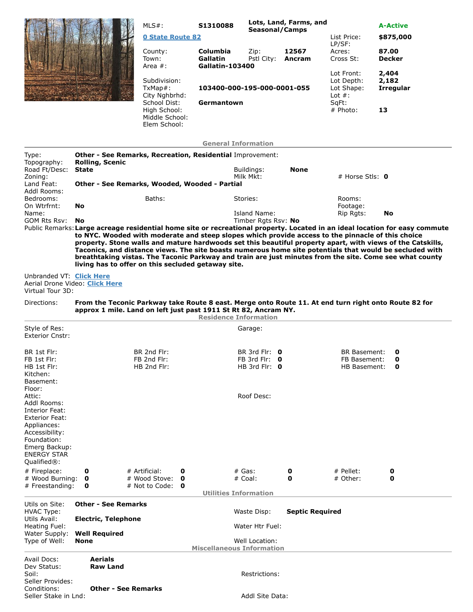|  | $MLS#$ :                                                                        | S1310088                                       | Seasonal/Camps                   | Lots, Land, Farms, and |                                        | <b>A-Active</b>                    |
|--|---------------------------------------------------------------------------------|------------------------------------------------|----------------------------------|------------------------|----------------------------------------|------------------------------------|
|  | <b>0 State Route 82</b>                                                         |                                                |                                  |                        | List Price:<br>LP/SF:                  | \$875,000                          |
|  | County:<br>Town:                                                                | Columbia<br>Gallatin                           | Zip:<br>Pstl City:               | 12567<br>Ancram        | Acres:<br>Cross St:                    | 87.00<br><b>Decker</b>             |
|  | Area $#$ :<br>Subdivision:<br>TxMap#:                                           | Gallatin-103400<br>103400-000-195-000-0001-055 |                                  |                        | Lot Front:<br>Lot Depth:<br>Lot Shape: | 2,404<br>2,182<br><b>Irregular</b> |
|  | City Nghbrhd:<br>School Dist:<br>High School:<br>Middle School:<br>Elem School: | Germantown                                     | Lot $#$ :<br>SqFt:<br>$#$ Photo: |                        |                                        | 13                                 |
|  |                                                                                 | <b>General Information</b>                     |                                  |                        |                                        |                                    |

| Type:<br>Topography:                                                                                                                                                   | <b>Other - See Remarks, Recreation, Residential Improvement:</b><br><b>Rolling, Scenic</b> |                                                              |                                                                 |                                                                 |                        |                                                                                                      |                                                                                                                                                                                                                                                                                                                                                                                                                                                                 |  |
|------------------------------------------------------------------------------------------------------------------------------------------------------------------------|--------------------------------------------------------------------------------------------|--------------------------------------------------------------|-----------------------------------------------------------------|-----------------------------------------------------------------|------------------------|------------------------------------------------------------------------------------------------------|-----------------------------------------------------------------------------------------------------------------------------------------------------------------------------------------------------------------------------------------------------------------------------------------------------------------------------------------------------------------------------------------------------------------------------------------------------------------|--|
| Road Ft/Desc:<br>Zoning:                                                                                                                                               | <b>State</b>                                                                               |                                                              |                                                                 | Buildings:<br>Milk Mkt:                                         | <b>None</b>            | # Horse Stls: $\mathbf 0$                                                                            |                                                                                                                                                                                                                                                                                                                                                                                                                                                                 |  |
| Land Feat:<br>Addl Rooms:                                                                                                                                              | Other - See Remarks, Wooded, Wooded - Partial                                              |                                                              |                                                                 |                                                                 |                        |                                                                                                      |                                                                                                                                                                                                                                                                                                                                                                                                                                                                 |  |
| Bedrooms:<br>On Wtrfrnt:                                                                                                                                               | No                                                                                         | Baths:                                                       |                                                                 | Stories:                                                        |                        | Rooms:<br>Footage:                                                                                   |                                                                                                                                                                                                                                                                                                                                                                                                                                                                 |  |
| Name:<br>GOM Rts Rsv:                                                                                                                                                  | No                                                                                         |                                                              |                                                                 | Island Name:<br>Timber Rgts Rsv: No                             |                        | Rip Rgts:                                                                                            | No                                                                                                                                                                                                                                                                                                                                                                                                                                                              |  |
|                                                                                                                                                                        |                                                                                            |                                                              | living has to offer on this secluded getaway site.              |                                                                 |                        | to NYC. Wooded with moderate and steep slopes which provide access to the pinnacle of this choice    | Public Remarks: Large acreage residential home site or recreational property. Located in an ideal location for easy commute<br>property. Stone walls and mature hardwoods set this beautiful property apart, with views of the Catskills,<br>Taconics, and distance views. The site boasts numerous home site potentials that would be secluded with<br>breathtaking vistas. The Taconic Parkway and train are just minutes from the site. Come see what county |  |
| Unbranded VT: Click Here<br>Virtual Tour 3D:                                                                                                                           | Aerial Drone Video: Click Here                                                             |                                                              |                                                                 |                                                                 |                        |                                                                                                      |                                                                                                                                                                                                                                                                                                                                                                                                                                                                 |  |
| Directions:                                                                                                                                                            |                                                                                            |                                                              | approx 1 mile. Land on left just past 1911 St Rt 82, Ancram NY. | <b>Residence Information</b>                                    |                        | From the Teconic Parkway take Route 8 east. Merge onto Route 11. At end turn right onto Route 82 for |                                                                                                                                                                                                                                                                                                                                                                                                                                                                 |  |
| Style of Res:<br><b>Exterior Cnstr:</b>                                                                                                                                |                                                                                            |                                                              |                                                                 | Garage:                                                         |                        |                                                                                                      |                                                                                                                                                                                                                                                                                                                                                                                                                                                                 |  |
| BR 1st Flr:<br>FB 1st Flr:<br>HB 1st Flr:<br>Kitchen:<br>Basement:<br>Floor:                                                                                           |                                                                                            | BR 2nd Flr:<br>FB 2nd Flr:<br>HB 2nd Flr:                    |                                                                 | BR 3rd Flr: $\theta$<br>FB 3rd Flr: $0$<br>HB 3rd Fir: $\theta$ |                        | <b>BR Basement:</b><br>FB Basement:<br><b>HB Basement:</b>                                           | 0<br>0<br>0                                                                                                                                                                                                                                                                                                                                                                                                                                                     |  |
| Attic:<br>Addl Rooms:<br>Interior Feat:<br><b>Exterior Feat:</b><br>Appliances:<br>Accessibility:<br>Foundation:<br>Emerg Backup:<br><b>ENERGY STAR</b><br>Qualified®: |                                                                                            |                                                              |                                                                 | Roof Desc:                                                      |                        |                                                                                                      |                                                                                                                                                                                                                                                                                                                                                                                                                                                                 |  |
| # Fireplace:<br># Wood Burning:<br># Freestanding:                                                                                                                     | 0<br>0<br>0                                                                                | # Artificial:<br># Wood Stove:<br># Not to Code: $\mathbf 0$ | 0<br>$\mathbf{o}$                                               | $#$ Gas:<br># Coal:                                             | 0<br>0                 | $#$ Pellet:<br># Other:                                                                              | 0<br>0                                                                                                                                                                                                                                                                                                                                                                                                                                                          |  |
|                                                                                                                                                                        |                                                                                            |                                                              |                                                                 | <b>Utilities Information</b>                                    |                        |                                                                                                      |                                                                                                                                                                                                                                                                                                                                                                                                                                                                 |  |
| Utils on Site:<br><b>HVAC Type:</b><br>Utils Avail:<br>Heating Fuel:<br>Water Supply:<br>Type of Well:                                                                 | <b>Other - See Remarks</b><br><b>Electric, Telephone</b>                                   |                                                              |                                                                 | Waste Disp:                                                     | <b>Septic Required</b> |                                                                                                      |                                                                                                                                                                                                                                                                                                                                                                                                                                                                 |  |
|                                                                                                                                                                        | <b>Well Required</b>                                                                       |                                                              |                                                                 | Water Htr Fuel:                                                 |                        |                                                                                                      |                                                                                                                                                                                                                                                                                                                                                                                                                                                                 |  |
|                                                                                                                                                                        | <b>None</b>                                                                                |                                                              |                                                                 | Well Location:<br><b>Miscellaneous Information</b>              |                        |                                                                                                      |                                                                                                                                                                                                                                                                                                                                                                                                                                                                 |  |
| Avail Docs:<br>Dev Status:<br>Soil:                                                                                                                                    | <b>Aerials</b><br><b>Raw Land</b>                                                          |                                                              |                                                                 | Restrictions:                                                   |                        |                                                                                                      |                                                                                                                                                                                                                                                                                                                                                                                                                                                                 |  |
| Seller Provides:<br>Conditions:<br>Seller Stake in Lnd:                                                                                                                |                                                                                            | <b>Other - See Remarks</b>                                   |                                                                 | Addl Site Data:                                                 |                        |                                                                                                      |                                                                                                                                                                                                                                                                                                                                                                                                                                                                 |  |